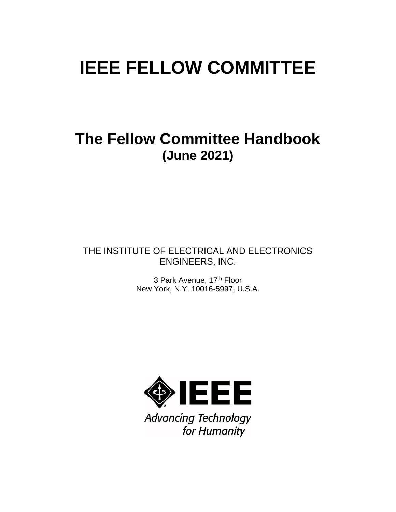# **IEEE FELLOW COMMITTEE**

# **The Fellow Committee Handbook (June 2021)**

# THE INSTITUTE OF ELECTRICAL AND ELECTRONICS ENGINEERS, INC.

3 Park Avenue, 17<sup>th</sup> Floor New York, N.Y. 10016-5997, U.S.A.



**Advancing Technology** for Humanity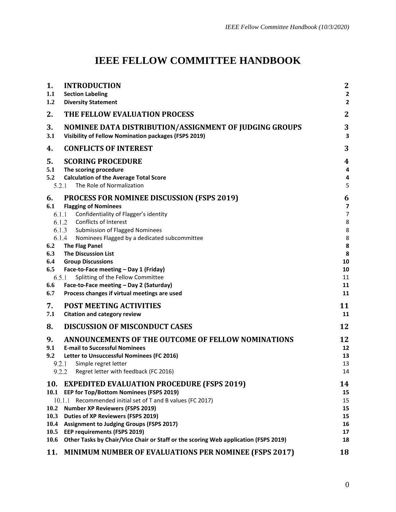# **IEEE FELLOW COMMITTEE HANDBOOK**

| 1.<br>1.1<br>1.2                | <b>INTRODUCTION</b><br><b>Section Labeling</b><br><b>Diversity Statement</b>                                                                                                                                                                                                                               | $\boldsymbol{2}$<br>$\mathbf{2}$<br>$\mathbf{2}$ |
|---------------------------------|------------------------------------------------------------------------------------------------------------------------------------------------------------------------------------------------------------------------------------------------------------------------------------------------------------|--------------------------------------------------|
| 2.                              | THE FELLOW EVALUATION PROCESS                                                                                                                                                                                                                                                                              | $\mathbf{2}$                                     |
| 3.<br>3.1                       | NOMINEE DATA DISTRIBUTION/ASSIGNMENT OF JUDGING GROUPS<br><b>Visibility of Fellow Nomination packages (FSPS 2019)</b>                                                                                                                                                                                      | 3<br>3                                           |
| 4.                              | <b>CONFLICTS OF INTEREST</b>                                                                                                                                                                                                                                                                               | 3                                                |
| 5.<br>5.1<br>5.2<br>5.2.1       | <b>SCORING PROCEDURE</b><br>The scoring procedure<br><b>Calculation of the Average Total Score</b><br>The Role of Normalization                                                                                                                                                                            | 4<br>4<br>4<br>5                                 |
| 6.<br>6.1<br>6.2                | <b>PROCESS FOR NOMINEE DISCUSSION (FSPS 2019)</b><br><b>Flagging of Nominees</b><br>6.1.1<br>Confidentiality of Flagger's identity<br>6.1.2 Conflicts of Interest<br>6.1.3 Submission of Flagged Nominees<br>6.1.4<br>Nominees Flagged by a dedicated subcommittee<br><b>The Flag Panel</b>                | 6<br>7<br>$\overline{7}$<br>8<br>8<br>8<br>8     |
| 6.3<br>6.4<br>6.5<br>6.6<br>6.7 | <b>The Discussion List</b><br><b>Group Discussions</b><br>Face-to-Face meeting - Day 1 (Friday)<br>6.5.1<br>Splitting of the Fellow Committee<br>Face-to-Face meeting - Day 2 (Saturday)<br>Process changes if virtual meetings are used                                                                   | 8<br>10<br>10<br>11<br>11<br>11                  |
| 7.<br>7.1                       | <b>POST MEETING ACTIVITIES</b><br><b>Citation and category review</b>                                                                                                                                                                                                                                      | 11<br>11                                         |
| 8.                              | <b>DISCUSSION OF MISCONDUCT CASES</b>                                                                                                                                                                                                                                                                      | 12                                               |
| 9.<br>9.1<br>9.2<br>9.2.1       | ANNOUNCEMENTS OF THE OUTCOME OF FELLOW NOMINATIONS<br><b>E-mail to Successful Nominees</b><br>Letter to Unsuccessful Nominees (FC 2016)<br>Simple regret letter<br>9.2.2 Regret letter with feedback (FC 2016)                                                                                             | 12<br>12<br>13<br>13<br>14                       |
| 10.<br>10.2<br>10.3             | <b>EXPEDITED EVALUATION PROCEDURE (FSPS 2019)</b><br>10.1 EEP for Top/Bottom Nominees (FSPS 2019)<br>Recommended initial set of T and B values (FC 2017)<br>10.1.1<br><b>Number XP Reviewers (FSPS 2019)</b><br><b>Duties of XP Reviewers (FSPS 2019)</b><br>10.4 Assignment to Judging Groups (FSPS 2017) | 14<br>15<br>15<br>15<br>15<br>16                 |
| 10.5<br>10.6                    | <b>EEP requirements (FSPS 2019)</b><br>Other Tasks by Chair/Vice Chair or Staff or the scoring Web application (FSPS 2019)                                                                                                                                                                                 | 17<br>18                                         |
| 11.                             | <b>MINIMUM NUMBER OF EVALUATIONS PER NOMINEE (FSPS 2017)</b>                                                                                                                                                                                                                                               | 18                                               |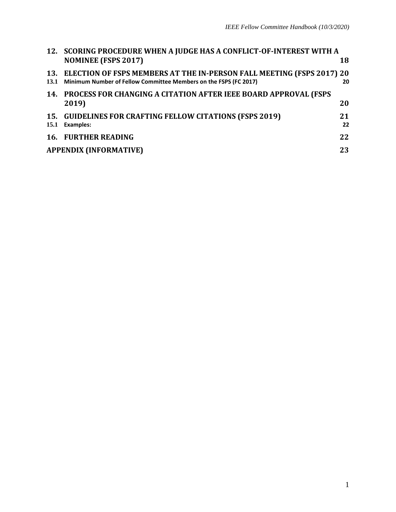|      | 12. SCORING PROCEDURE WHEN A JUDGE HAS A CONFLICT-OF-INTEREST WITH A<br><b>NOMINEE (FSPS 2017)</b>                                            | 18       |
|------|-----------------------------------------------------------------------------------------------------------------------------------------------|----------|
| 13.1 | 13. ELECTION OF FSPS MEMBERS AT THE IN-PERSON FALL MEETING (FSPS 2017) 20<br>Minimum Number of Fellow Committee Members on the FSPS (FC 2017) | 20       |
|      | 14. PROCESS FOR CHANGING A CITATION AFTER IEEE BOARD APPROVAL (FSPS<br>2019)                                                                  | 20       |
| 15.1 | 15. GUIDELINES FOR CRAFTING FELLOW CITATIONS (FSPS 2019)<br><b>Examples:</b>                                                                  | 21<br>22 |
|      | <b>16. FURTHER READING</b>                                                                                                                    | 22       |
|      | <b>APPENDIX (INFORMATIVE)</b>                                                                                                                 | 23       |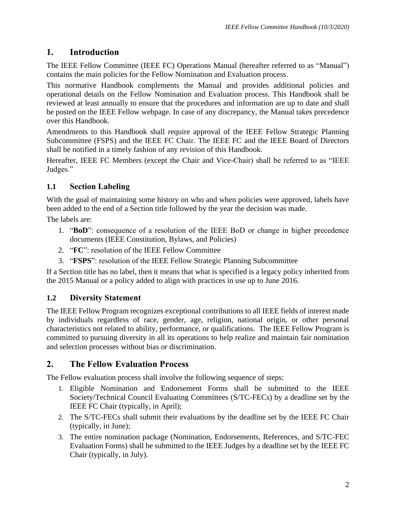### <span id="page-3-0"></span>**1. Introduction**

The IEEE Fellow Committee (IEEE FC) Operations Manual (hereafter referred to as "Manual") contains the main policies for the Fellow Nomination and Evaluation process.

This normative Handbook complements the Manual and provides additional policies and operational details on the Fellow Nomination and Evaluation process. This Handbook shall be reviewed at least annually to ensure that the procedures and information are up to date and shall be posted on the IEEE Fellow webpage. In case of any discrepancy, the Manual takes precedence over this Handbook.

Amendments to this Handbook shall require approval of the IEEE Fellow Strategic Planning Subcommittee (FSPS) and the IEEE FC Chair. The IEEE FC and the IEEE Board of Directors shall be notified in a timely fashion of any revision of this Handbook.

Hereafter, IEEE FC Members (except the Chair and Vice-Chair) shall be referred to as "IEEE Judges."

#### <span id="page-3-1"></span>**1.1 Section Labeling**

With the goal of maintaining some history on who and when policies were approved, labels have been added to the end of a Section title followed by the year the decision was made.

The labels are:

- 1. "**BoD**": consequence of a resolution of the IEEE BoD or change in higher precedence documents (IEEE Constitution, Bylaws, and Policies)
- 2. "**FC**": resolution of the IEEE Fellow Committee
- 3. "**FSPS**": resolution of the IEEE Fellow Strategic Planning Subcommittee

If a Section title has no label, then it means that what is specified is a legacy policy inherited from the 2015 Manual or a policy added to align with practices in use up to June 2016.

#### <span id="page-3-2"></span>**1.2 Diversity Statement**

The IEEE Fellow Program recognizes exceptional contributions to all IEEE fields of interest made by individuals regardless of race, gender, age, religion, national origin, or other personal characteristics not related to ability, performance, or qualifications. The IEEE Fellow Program is committed to pursuing diversity in all its operations to help realize and maintain fair nomination and selection processes without bias or discrimination.

#### <span id="page-3-3"></span>**2. The Fellow Evaluation Process**

The Fellow evaluation process shall involve the following sequence of steps:

- 1. Eligible Nomination and Endorsement Forms shall be submitted to the IEEE Society/Technical Council Evaluating Committees (S/TC-FECs) by a deadline set by the IEEE FC Chair (typically, in April);
- 2. The S/TC-FECs shall submit their evaluations by the deadline set by the IEEE FC Chair (typically, in June);
- 3. The entire nomination package (Nomination, Endorsements, References, and S/TC-FEC Evaluation Forms) shall be submitted to the IEEE Judges by a deadline set by the IEEE FC Chair (typically, in July).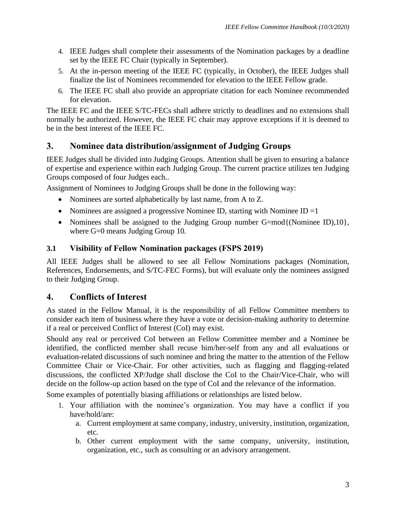- 4. IEEE Judges shall complete their assessments of the Nomination packages by a deadline set by the IEEE FC Chair (typically in September).
- 5. At the in-person meeting of the IEEE FC (typically, in October), the IEEE Judges shall finalize the list of Nominees recommended for elevation to the IEEE Fellow grade.
- 6. The IEEE FC shall also provide an appropriate citation for each Nominee recommended for elevation.

The IEEE FC and the IEEE S/TC-FECs shall adhere strictly to deadlines and no extensions shall normally be authorized. However, the IEEE FC chair may approve exceptions if it is deemed to be in the best interest of the IEEE FC.

#### <span id="page-4-0"></span>**3. Nominee data distribution/assignment of Judging Groups**

IEEE Judges shall be divided into Judging Groups. Attention shall be given to ensuring a balance of expertise and experience within each Judging Group. The current practice utilizes ten Judging Groups composed of four Judges each..

Assignment of Nominees to Judging Groups shall be done in the following way:

- Nominees are sorted alphabetically by last name, from A to Z.
- Nominees are assigned a progressive Nominee ID, starting with Nominee ID  $=1$
- Nominees shall be assigned to the Judging Group number G=mod{(Nominee ID),10}, where G=0 means Judging Group 10.

#### <span id="page-4-1"></span>**3.1 Visibility of Fellow Nomination packages (FSPS 2019)**

All IEEE Judges shall be allowed to see all Fellow Nominations packages (Nomination, References, Endorsements, and S/TC-FEC Forms), but will evaluate only the nominees assigned to their Judging Group.

#### <span id="page-4-2"></span>**4. Conflicts of Interest**

As stated in the Fellow Manual, it is the responsibility of all Fellow Committee members to consider each item of business where they have a vote or decision-making authority to determine if a real or perceived Conflict of Interest (CoI) may exist.

Should any real or perceived CoI between an Fellow Committee member and a Nominee be identified, the conflicted member shall recuse him/her-self from any and all evaluations or evaluation-related discussions of such nominee and bring the matter to the attention of the Fellow Committee Chair or Vice-Chair. For other activities, such as flagging and flagging-related discussions, the conflicted XP/Judge shall disclose the CoI to the Chair/Vice-Chair, who will decide on the follow-up action based on the type of CoI and the relevance of the information.

Some examples of potentially biasing affiliations or relationships are listed below.

- 1. Your affiliation with the nominee's organization. You may have a conflict if you have/hold/are:
	- a. Current employment at same company, industry, university, institution, organization, etc.
	- b. Other current employment with the same company, university, institution, organization, etc., such as consulting or an advisory arrangement.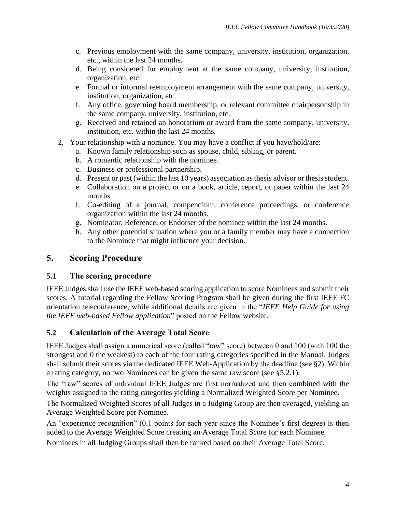- c. Previous employment with the same company, university, institution, organization, etc., within the last 24 months.
- d. Being considered for employment at the same company, university, institution, organization, etc.
- e. Formal or informal reemployment arrangement with the same company, university, institution, organization, etc.
- f. Any office, governing board membership, or relevant committee chairpersonship in the same company, university, institution, etc.
- g. Received and retained an honorarium or award from the same company, university, institution, etc. within the last 24 months.
- 2. Your relationship with a nominee. You may have a conflict if you have/hold/are:
	- a. Known family relationship such as spouse, child, sibling, or parent.
	- b. A romantic relationship with the nominee.
	- c. Business or professional partnership.
	- d. Present or past (within the last 10 years) association as thesis advisor or thesis student.
	- e. Collaboration on a project or on a book, article, report, or paper within the last 24 months.
	- f. Co-editing of a journal, compendium, conference proceedings, or conference organization within the last 24 months.
	- g. Nominator, Reference, or Endorser of the nominee within the last 24 months.
	- h. Any other potential situation where you or a family member may have a connection to the Nominee that might influence your decision.

### <span id="page-5-0"></span>**5. Scoring Procedure**

#### <span id="page-5-1"></span>**5.1 The scoring procedure**

IEEE Judges shall use the IEEE web-based scoring application to score Nominees and submit their scores. A tutorial regarding the Fellow Scoring Program shall be given during the first IEEE FC orientation teleconference, while additional details are given in the "*IEEE Help Guide for using the IEEE web-based Fellow application*" posted on the Fellow website.

#### <span id="page-5-2"></span>**5.2 Calculation of the Average Total Score**

IEEE Judges shall assign a numerical score (called "raw" score) between 0 and 100 (with 100 the strongest and 0 the weakest) to each of the four rating categories specified in the Manual. Judges shall submit their scores via the dedicated IEEE Web-Application by the deadline (see [§2\)](#page-3-3). Within a rating category, no two Nominees can be given the same raw score (see [§5.2.1\)](#page-6-0).

The "raw" scores of individual IEEE Judges are first normalized and then combined with the weights assigned to the rating categories yielding a Normalized Weighted Score per Nominee.

The Normalized Weighted Scores of all Judges in a Judging Group are then averaged, yielding an Average Weighted Score per Nominee.

An "experience recognition" (0.1 points for each year since the Nominee's first degree) is then added to the Average Weighted Score creating an Average Total Score for each Nominee.

Nominees in all Judging Groups shall then be ranked based on their Average Total Score.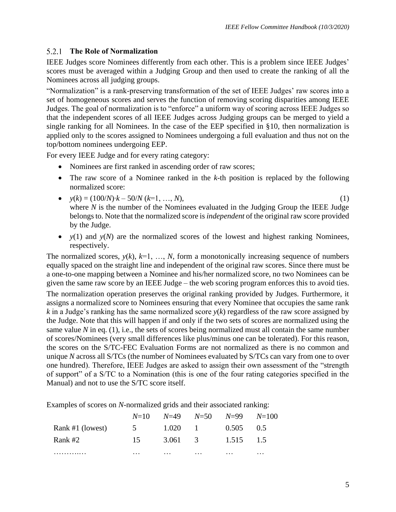#### <span id="page-6-0"></span>**The Role of Normalization**

IEEE Judges score Nominees differently from each other. This is a problem since IEEE Judges' scores must be averaged within a Judging Group and then used to create the ranking of all the Nominees across all judging groups.

"Normalization" is a rank-preserving transformation of the set of IEEE Judges' raw scores into a set of homogeneous scores and serves the function of removing scoring disparities among IEEE Judges. The goal of normalization is to "enforce" a uniform way of scoring across IEEE Judges so that the independent scores of all IEEE Judges across Judging groups can be merged to yield a single ranking for all Nominees. In the case of the EEP specified in [§10,](#page-15-1) then normalization is applied only to the scores assigned to Nominees undergoing a full evaluation and thus not on the top/bottom nominees undergoing EEP.

For every IEEE Judge and for every rating category:

- Nominees are first ranked in ascending order of raw scores;
- The raw score of a Nominee ranked in the *k*-th position is replaced by the following normalized score:
- *y*(*k*) = (100/*N*)∙*k* 50/*N* (*k*=1, …, *N*), (1) where *N* is the number of the Nominees evaluated in the Judging Group the IEEE Judge belongs to. Note that the normalized score is *independent* of the original raw score provided by the Judge.
- $y(1)$  and  $y(N)$  are the normalized scores of the lowest and highest ranking Nominees, respectively.

The normalized scores,  $y(k)$ ,  $k=1, ..., N$ , form a monotonically increasing sequence of numbers equally spaced on the straight line and independent of the original raw scores. Since there must be a one-to-one mapping between a Nominee and his/her normalized score, no two Nominees can be given the same raw score by an IEEE Judge – the web scoring program enforces this to avoid ties.

The normalization operation preserves the original ranking provided by Judges. Furthermore, it assigns a normalized score to Nominees ensuring that every Nominee that occupies the same rank *k* in a Judge's ranking has the same normalized score  $y(k)$  regardless of the raw score assigned by the Judge. Note that this will happen if and only if the two sets of scores are normalized using the same value  $N$  in eq.  $(1)$ , i.e., the sets of scores being normalized must all contain the same number of scores/Nominees (very small differences like plus/minus one can be tolerated). For this reason, the scores on the S/TC-FEC Evaluation Forms are not normalized as there is no common and unique *N* across all S/TCs (the number of Nominees evaluated by S/TCs can vary from one to over one hundred). Therefore, IEEE Judges are asked to assign their own assessment of the "strength of support" of a S/TC to a Nomination (this is one of the four rating categories specified in the Manual) and not to use the S/TC score itself.

Examples of scores on *N-*normalized grids and their associated ranking:

|                  |          |          | $N=10$ $N=49$ $N=50$ $N=99$ $N=100$ |          |          |
|------------------|----------|----------|-------------------------------------|----------|----------|
| Rank #1 (lowest) |          |          | 5 1.020 1 0.505 0.5                 |          |          |
| Rank #2          | 15       |          | 3.061 3 1.515 1.5                   |          |          |
| .                | $\cdots$ | $\cdots$ | $\cdots$                            | $\cdots$ | $\cdots$ |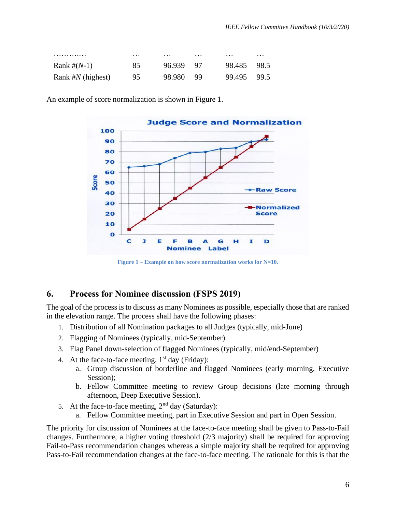|    |                |                    |                        | $\cdots$           |
|----|----------------|--------------------|------------------------|--------------------|
|    |                |                    |                        |                    |
| 85 | 96.939         |                    | 98.485 98.5            |                    |
|    |                |                    |                        |                    |
|    |                |                    |                        | 99.5               |
|    | $\cdots$<br>95 | $\cdots$<br>98.980 | $\cdots$<br>Q7<br>- 99 | $\cdots$<br>99.495 |

An example of score normalization is shown in [Figure 1.](#page-7-1)



**Figure 1 – Example on how score normalization works for N=10.**

#### <span id="page-7-1"></span><span id="page-7-0"></span>**6. Process for Nominee discussion (FSPS 2019)**

The goal of the process is to discuss as many Nominees as possible, especially those that are ranked in the elevation range. The process shall have the following phases:

- 1. Distribution of all Nomination packages to all Judges (typically, mid-June)
- 2. Flagging of Nominees (typically, mid-September)
- 3. Flag Panel down-selection of flagged Nominees (typically, mid/end-September)
- 4. At the face-to-face meeting,  $1<sup>st</sup>$  day (Friday):
	- a. Group discussion of borderline and flagged Nominees (early morning, Executive Session):
	- b. Fellow Committee meeting to review Group decisions (late morning through afternoon, Deep Executive Session).
- 5. At the face-to-face meeting,  $2<sup>nd</sup>$  day (Saturday):
	- a. Fellow Committee meeting, part in Executive Session and part in Open Session.

The priority for discussion of Nominees at the face-to-face meeting shall be given to Pass-to-Fail changes. Furthermore, a higher voting threshold (2/3 majority) shall be required for approving Fail-to-Pass recommendation changes whereas a simple majority shall be required for approving Pass-to-Fail recommendation changes at the face-to-face meeting. The rationale for this is that the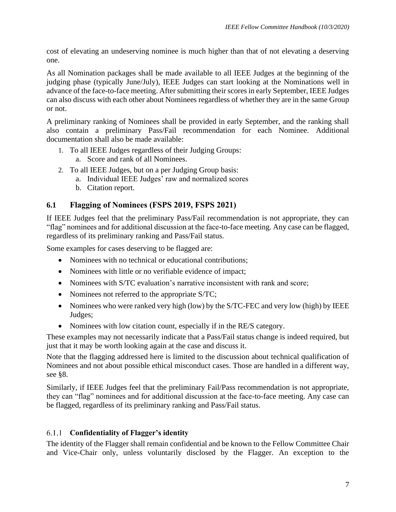cost of elevating an undeserving nominee is much higher than that of not elevating a deserving one.

As all Nomination packages shall be made available to all IEEE Judges at the beginning of the judging phase (typically June/July), IEEE Judges can start looking at the Nominations well in advance of the face-to-face meeting. After submitting their scores in early September, IEEE Judges can also discuss with each other about Nominees regardless of whether they are in the same Group or not.

A preliminary ranking of Nominees shall be provided in early September, and the ranking shall also contain a preliminary Pass/Fail recommendation for each Nominee. Additional documentation shall also be made available:

- 1. To all IEEE Judges regardless of their Judging Groups: a. Score and rank of all Nominees.
	-
- 2. To all IEEE Judges, but on a per Judging Group basis:
	- a. Individual IEEE Judges' raw and normalized scores
		- b. Citation report.

#### <span id="page-8-0"></span>**6.1 Flagging of Nominees (FSPS 2019, FSPS 2021)**

If IEEE Judges feel that the preliminary Pass/Fail recommendation is not appropriate, they can "flag" nominees and for additional discussion at the face-to-face meeting. Any case can be flagged, regardless of its preliminary ranking and Pass/Fail status.

Some examples for cases deserving to be flagged are:

- Nominees with no technical or educational contributions;
- Nominees with little or no verifiable evidence of impact;
- Nominees with S/TC evaluation's narrative inconsistent with rank and score;
- Nominees not referred to the appropriate S/TC;
- Nominees who were ranked very high (low) by the S/TC-FEC and very low (high) by IEEE Judges;
- Nominees with low citation count, especially if in the RE/S category.

These examples may not necessarily indicate that a Pass/Fail status change is indeed required, but just that it may be worth looking again at the case and discuss it.

Note that the flagging addressed here is limited to the discussion about technical qualification of Nominees and not about possible ethical misconduct cases. Those are handled in a different way, see [§8.](#page-13-0)

Similarly, if IEEE Judges feel that the preliminary Fail/Pass recommendation is not appropriate, they can "flag" nominees and for additional discussion at the face-to-face meeting. Any case can be flagged, regardless of its preliminary ranking and Pass/Fail status.

#### <span id="page-8-1"></span>**Confidentiality of Flagger's identity**

The identity of the Flagger shall remain confidential and be known to the Fellow Committee Chair and Vice-Chair only, unless voluntarily disclosed by the Flagger. An exception to the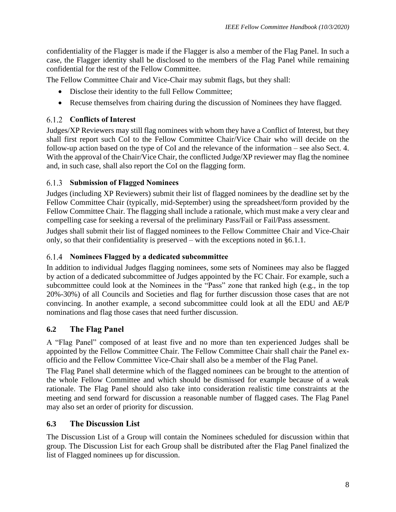confidentiality of the Flagger is made if the Flagger is also a member of the Flag Panel. In such a case, the Flagger identity shall be disclosed to the members of the Flag Panel while remaining confidential for the rest of the Fellow Committee.

The Fellow Committee Chair and Vice-Chair may submit flags, but they shall:

- Disclose their identity to the full Fellow Committee;
- Recuse themselves from chairing during the discussion of Nominees they have flagged.

#### <span id="page-9-0"></span>**Conflicts of Interest**

Judges/XP Reviewers may still flag nominees with whom they have a Conflict of Interest, but they shall first report such CoI to the Fellow Committee Chair/Vice Chair who will decide on the follow-up action based on the type of CoI and the relevance of the information – see also Sect. [4.](#page-4-2) With the approval of the Chair/Vice Chair, the conflicted Judge/XP reviewer may flag the nominee and, in such case, shall also report the CoI on the flagging form.

#### <span id="page-9-1"></span>**Submission of Flagged Nominees**

Judges (including XP Reviewers) submit their list of flagged nominees by the deadline set by the Fellow Committee Chair (typically, mid-September) using the spreadsheet/form provided by the Fellow Committee Chair. The flagging shall include a rationale, which must make a very clear and compelling case for seeking a reversal of the preliminary Pass/Fail or Fail/Pass assessment.

Judges shall submit their list of flagged nominees to the Fellow Committee Chair and Vice-Chair only, so that their confidentiality is preserved – with the exceptions noted in [§6.1.1.](#page-8-1)

#### <span id="page-9-2"></span>**Nominees Flagged by a dedicated subcommittee**

In addition to individual Judges flagging nominees, some sets of Nominees may also be flagged by action of a dedicated subcommittee of Judges appointed by the FC Chair. For example, such a subcommittee could look at the Nominees in the "Pass" zone that ranked high (e.g., in the top 20%-30%) of all Councils and Societies and flag for further discussion those cases that are not convincing. In another example, a second subcommittee could look at all the EDU and AE/P nominations and flag those cases that need further discussion.

#### <span id="page-9-3"></span>**6.2 The Flag Panel**

A "Flag Panel" composed of at least five and no more than ten experienced Judges shall be appointed by the Fellow Committee Chair. The Fellow Committee Chair shall chair the Panel exofficio and the Fellow Committee Vice-Chair shall also be a member of the Flag Panel.

The Flag Panel shall determine which of the flagged nominees can be brought to the attention of the whole Fellow Committee and which should be dismissed for example because of a weak rationale. The Flag Panel should also take into consideration realistic time constraints at the meeting and send forward for discussion a reasonable number of flagged cases. The Flag Panel may also set an order of priority for discussion.

#### <span id="page-9-4"></span>**6.3 The Discussion List**

The Discussion List of a Group will contain the Nominees scheduled for discussion within that group. The Discussion List for each Group shall be distributed after the Flag Panel finalized the list of Flagged nominees up for discussion.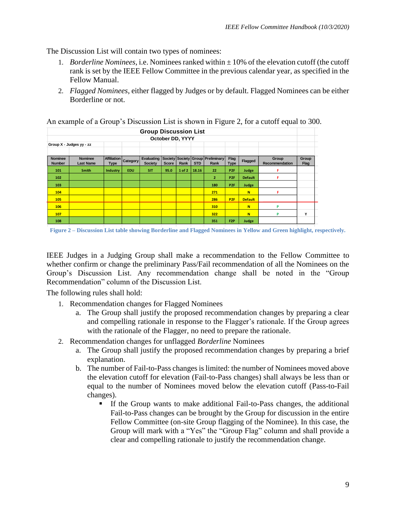The Discussion List will contain two types of nominees:

- 1. *Borderline Nominees*, i.e. Nominees ranked within ± 10% of the elevation cutoff (the cutoff rank is set by the IEEE Fellow Committee in the previous calendar year, as specified in the Fellow Manual.
- 2. *Flagged Nominees*, either flagged by Judges or by default. Flagged Nominees can be either Borderline or not.

| л.                                 | $\bf{r}$    |      |                       |                 |        |            |                  |                                   |                |                         |                      |
|------------------------------------|-------------|------|-----------------------|-----------------|--------|------------|------------------|-----------------------------------|----------------|-------------------------|----------------------|
| <b>Group Discussion List</b>       |             |      |                       |                 |        |            |                  |                                   |                |                         |                      |
|                                    |             |      |                       |                 |        |            |                  |                                   |                |                         |                      |
| Group X - Judges yy - zz           |             |      |                       |                 |        |            |                  |                                   |                |                         |                      |
|                                    |             |      |                       |                 |        |            |                  |                                   |                |                         |                      |
| <b>Nominee</b><br><b>Last Name</b> | <b>Type</b> |      | Evaluating<br>Society | <b>Score</b>    | Rank   | <b>STD</b> | Rank             | Flag<br><b>Type</b>               | Flagged        | Group<br>Recommendation | Group<br><b>Flag</b> |
| <b>Smith</b>                       | Industry    | EDU. | <b>SIT</b>            | 95.0            | 1 of 2 | 18.16      | 22               | P <sub>2F</sub>                   | Judge          | F                       |                      |
|                                    |             |      |                       |                 |        |            | $\overline{2}$   | P <sub>2F</sub>                   | <b>Default</b> | F                       |                      |
|                                    |             |      |                       |                 |        |            | 180              | P <sub>2F</sub>                   | Judge          |                         |                      |
|                                    |             |      |                       |                 |        |            | 271              |                                   | N              | F                       |                      |
|                                    |             |      |                       |                 |        |            | 286              | P <sub>2F</sub>                   | <b>Default</b> |                         |                      |
|                                    |             |      |                       |                 |        |            | 310              |                                   | N              | P                       |                      |
|                                    |             |      |                       |                 |        |            | 322              |                                   | N              | P                       | Υ                    |
|                                    |             |      |                       |                 |        |            | 351              | F <sub>2</sub> P                  | Judge          |                         |                      |
|                                    |             |      | Affiliation           | <b>Category</b> |        |            | October DD, YYYY | Society Society Group Preliminary |                |                         |                      |

An example of a Group's Discussion List is shown in [Figure 2,](#page-10-0) for a cutoff equal to 300.

<span id="page-10-0"></span>**Figure 2 – Discussion List table showing Borderline and Flagged Nominees in Yellow and Green highlight, respectively.**

IEEE Judges in a Judging Group shall make a recommendation to the Fellow Committee to whether confirm or change the preliminary Pass/Fail recommendation of all the Nominees on the Group's Discussion List. Any recommendation change shall be noted in the "Group Recommendation" column of the Discussion List.

The following rules shall hold:

- 1. Recommendation changes for Flagged Nominees
	- a. The Group shall justify the proposed recommendation changes by preparing a clear and compelling rationale in response to the Flagger's rationale. If the Group agrees with the rationale of the Flagger, no need to prepare the rationale.
- 2. Recommendation changes for unflagged *Borderline* Nominees
	- a. The Group shall justify the proposed recommendation changes by preparing a brief explanation.
	- b. The number of Fail-to-Pass changes is limited: the number of Nominees moved above the elevation cutoff for elevation (Fail-to-Pass changes) shall always be less than or equal to the number of Nominees moved below the elevation cutoff (Pass-to-Fail changes).
		- If the Group wants to make additional Fail-to-Pass changes, the additional Fail-to-Pass changes can be brought by the Group for discussion in the entire Fellow Committee (on-site Group flagging of the Nominee). In this case, the Group will mark with a "Yes" the "Group Flag" column and shall provide a clear and compelling rationale to justify the recommendation change.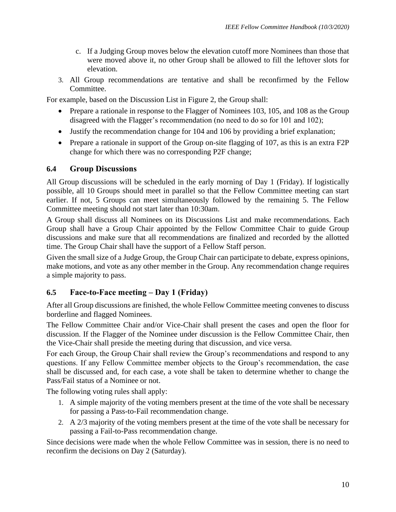- c. If a Judging Group moves below the elevation cutoff more Nominees than those that were moved above it, no other Group shall be allowed to fill the leftover slots for elevation.
- 3. All Group recommendations are tentative and shall be reconfirmed by the Fellow Committee.

For example, based on the Discussion List in [Figure 2,](#page-10-0) the Group shall:

- Prepare a rationale in response to the Flagger of Nominees 103, 105, and 108 as the Group disagreed with the Flagger's recommendation (no need to do so for 101 and 102);
- Justify the recommendation change for 104 and 106 by providing a brief explanation;
- Prepare a rationale in support of the Group on-site flagging of 107, as this is an extra F2P change for which there was no corresponding P2F change;

#### <span id="page-11-0"></span>**6.4 Group Discussions**

All Group discussions will be scheduled in the early morning of Day 1 (Friday). If logistically possible, all 10 Groups should meet in parallel so that the Fellow Committee meeting can start earlier. If not, 5 Groups can meet simultaneously followed by the remaining 5. The Fellow Committee meeting should not start later than 10:30am.

A Group shall discuss all Nominees on its Discussions List and make recommendations. Each Group shall have a Group Chair appointed by the Fellow Committee Chair to guide Group discussions and make sure that all recommendations are finalized and recorded by the allotted time. The Group Chair shall have the support of a Fellow Staff person.

Given the small size of a Judge Group, the Group Chair can participate to debate, express opinions, make motions, and vote as any other member in the Group. Any recommendation change requires a simple majority to pass.

#### <span id="page-11-1"></span>**6.5 Face-to-Face meeting – Day 1 (Friday)**

After all Group discussions are finished, the whole Fellow Committee meeting convenes to discuss borderline and flagged Nominees.

The Fellow Committee Chair and/or Vice-Chair shall present the cases and open the floor for discussion. If the Flagger of the Nominee under discussion is the Fellow Committee Chair, then the Vice-Chair shall preside the meeting during that discussion, and vice versa.

For each Group, the Group Chair shall review the Group's recommendations and respond to any questions. If any Fellow Committee member objects to the Group's recommendation, the case shall be discussed and, for each case, a vote shall be taken to determine whether to change the Pass/Fail status of a Nominee or not.

The following voting rules shall apply:

- 1. A simple majority of the voting members present at the time of the vote shall be necessary for passing a Pass-to-Fail recommendation change.
- 2. A 2/3 majority of the voting members present at the time of the vote shall be necessary for passing a Fail-to-Pass recommendation change.

Since decisions were made when the whole Fellow Committee was in session, there is no need to reconfirm the decisions on Day 2 (Saturday).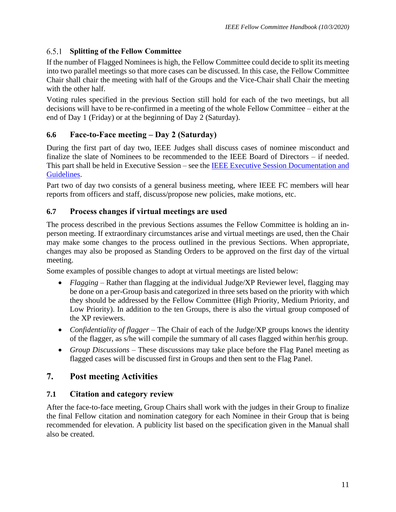#### <span id="page-12-0"></span>**Splitting of the Fellow Committee**

If the number of Flagged Nominees is high, the Fellow Committee could decide to split its meeting into two parallel meetings so that more cases can be discussed. In this case, the Fellow Committee Chair shall chair the meeting with half of the Groups and the Vice-Chair shall Chair the meeting with the other half.

Voting rules specified in the previous Section still hold for each of the two meetings, but all decisions will have to be re-confirmed in a meeting of the whole Fellow Committee – either at the end of Day 1 (Friday) or at the beginning of Day 2 (Saturday).

#### <span id="page-12-1"></span>**6.6 Face-to-Face meeting – Day 2 (Saturday)**

During the first part of day two, IEEE Judges shall discuss cases of nominee misconduct and finalize the slate of Nominees to be recommended to the IEEE Board of Directors – if needed. This part shall be held in Executive Session – see the [IEEE Executive Session Documentation and](http://www.ieee.org/about/corporate/governance/executive_session_guidelines.pdf)  [Guidelines.](http://www.ieee.org/about/corporate/governance/executive_session_guidelines.pdf)

Part two of day two consists of a general business meeting, where IEEE FC members will hear reports from officers and staff, discuss/propose new policies, make motions, etc.

#### <span id="page-12-2"></span>**6.7 Process changes if virtual meetings are used**

The process described in the previous Sections assumes the Fellow Committee is holding an inperson meeting. If extraordinary circumstances arise and virtual meetings are used, then the Chair may make some changes to the process outlined in the previous Sections. When appropriate, changes may also be proposed as Standing Orders to be approved on the first day of the virtual meeting.

Some examples of possible changes to adopt at virtual meetings are listed below:

- *Flagging* Rather than flagging at the individual Judge/XP Reviewer level, flagging may be done on a per-Group basis and categorized in three sets based on the priority with which they should be addressed by the Fellow Committee (High Priority, Medium Priority, and Low Priority). In addition to the ten Groups, there is also the virtual group composed of the XP reviewers.
- *Confidentiality of flagger* The Chair of each of the Judge/XP groups knows the identity of the flagger, as s/he will compile the summary of all cases flagged within her/his group.
- *Group Discussions* These discussions may take place before the Flag Panel meeting as flagged cases will be discussed first in Groups and then sent to the Flag Panel.

# <span id="page-12-3"></span>**7. Post meeting Activities**

#### <span id="page-12-4"></span>**7.1 Citation and category review**

After the face-to-face meeting, Group Chairs shall work with the judges in their Group to finalize the final Fellow citation and nomination category for each Nominee in their Group that is being recommended for elevation. A publicity list based on the specification given in the Manual shall also be created.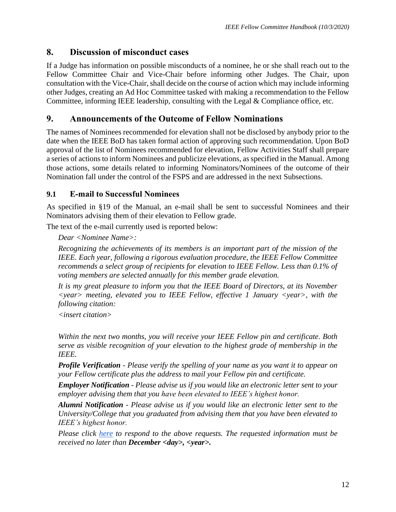#### <span id="page-13-0"></span>**8. Discussion of misconduct cases**

If a Judge has information on possible misconducts of a nominee, he or she shall reach out to the Fellow Committee Chair and Vice-Chair before informing other Judges. The Chair, upon consultation with the Vice-Chair, shall decide on the course of action which may include informing other Judges, creating an Ad Hoc Committee tasked with making a recommendation to the Fellow Committee, informing IEEE leadership, consulting with the Legal & Compliance office, etc.

#### <span id="page-13-1"></span>**9. Announcements of the Outcome of Fellow Nominations**

The names of Nominees recommended for elevation shall not be disclosed by anybody prior to the date when the IEEE BoD has taken formal action of approving such recommendation. Upon BoD approval of the list of Nominees recommended for elevation, Fellow Activities Staff shall prepare a series of actions to inform Nominees and publicize elevations, as specified in the Manual. Among those actions, some details related to informing Nominators/Nominees of the outcome of their Nomination fall under the control of the FSPS and are addressed in the next Subsections.

#### <span id="page-13-2"></span>**9.1 E-mail to Successful Nominees**

As specified in §19 of the Manual, an e-mail shall be sent to successful Nominees and their Nominators advising them of their elevation to Fellow grade.

The text of the e-mail currently used is reported below:

*Dear <Nominee Name>:*

*Recognizing the achievements of its members is an important part of the mission of the IEEE. Each year, following a rigorous evaluation procedure, the IEEE Fellow Committee recommends a select group of recipients for elevation to IEEE Fellow. Less than 0.1% of voting members are selected annually for this member grade elevation.*

*It is my great pleasure to inform you that the IEEE Board of Directors, at its November <year> meeting, elevated you to IEEE Fellow, effective 1 January <year>, with the following citation:*

*<insert citation>*

*Within the next two months, you will receive your IEEE Fellow pin and certificate. Both serve as visible recognition of your elevation to the highest grade of membership in the IEEE.*

*Profile Verification - Please verify the spelling of your name as you want it to appear on your Fellow certificate plus the address to mail your Fellow pin and certificate.*

*Employer Notification - Please advise us if you would like an electronic letter sent to your employer advising them that you have been elevated to IEEE's highest honor.*

*Alumni Notification - Please advise us if you would like an electronic letter sent to the University/College that you graduated from advising them that you have been elevated to IEEE's highest honor.*

*Please click [here](https://live.runmyprocess.com/live/2215365968/appli/194783?P_mode=LIVE&P_version=) to respond to the above requests. The requested information must be received no later than December <day>, <year>.*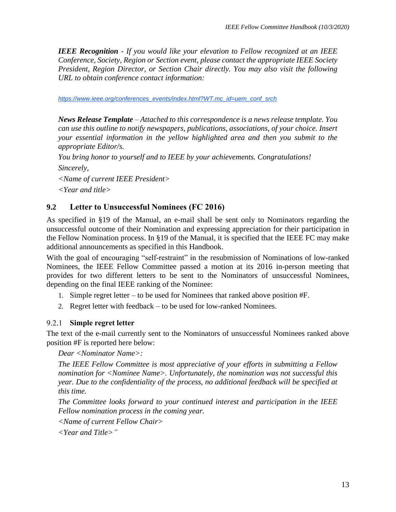*IEEE Recognition - If you would like your elevation to Fellow recognized at an IEEE Conference, Society, Region or Section event, please contact the appropriate IEEE Society President, Region Director, or Section Chair directly. You may also visit the following URL to obtain conference contact information:*

*[https://www.ieee.org/conferences\\_events/index.html?WT.mc\\_id=uem\\_conf\\_srch](https://www.ieee.org/conferences_events/index.html?WT.mc_id=uem_conf_srch)*

*News Release Template – Attached to this correspondence is a news release template. You can use this outline to notify newspapers, publications, associations, of your choice. Insert your essential information in the yellow highlighted area and then you submit to the appropriate Editor/s.*

*You bring honor to yourself and to IEEE by your achievements. Congratulations!*

*Sincerely,*

*<Name of current IEEE President>*

*<Year and title>*

#### <span id="page-14-0"></span>**9.2 Letter to Unsuccessful Nominees (FC 2016)**

As specified in §19 of the Manual, an e-mail shall be sent only to Nominators regarding the unsuccessful outcome of their Nomination and expressing appreciation for their participation in the Fellow Nomination process. In §19 of the Manual, it is specified that the IEEE FC may make additional announcements as specified in this Handbook.

With the goal of encouraging "self-restraint" in the resubmission of Nominations of low-ranked Nominees, the IEEE Fellow Committee passed a motion at its 2016 in-person meeting that provides for two different letters to be sent to the Nominators of unsuccessful Nominees, depending on the final IEEE ranking of the Nominee:

- 1. Simple regret letter to be used for Nominees that ranked above position #F.
- 2. Regret letter with feedback to be used for low-ranked Nominees.

#### <span id="page-14-1"></span>**Simple regret letter**

The text of the e-mail currently sent to the Nominators of unsuccessful Nominees ranked above position #F is reported here below:

*Dear <Nominator Name>:*

*The IEEE Fellow Committee is most appreciative of your efforts in submitting a Fellow nomination for <Nominee Name>. Unfortunately, the nomination was not successful this year. Due to the confidentiality of the process, no additional feedback will be specified at this time.*

*The Committee looks forward to your continued interest and participation in the IEEE Fellow nomination process in the coming year.*

*<Name of current Fellow Chair>*

*<Year and Title>"*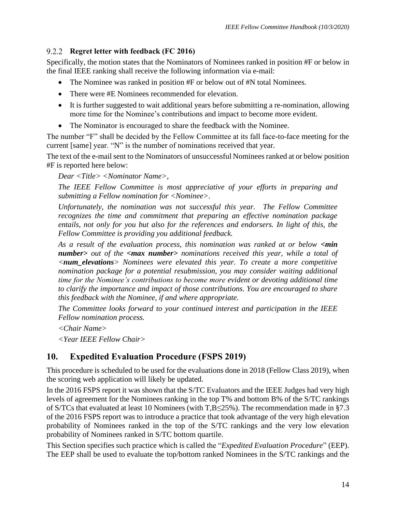#### <span id="page-15-0"></span>**Regret letter with feedback (FC 2016)**

Specifically, the motion states that the Nominators of Nominees ranked in position #F or below in the final IEEE ranking shall receive the following information via e-mail:

- The Nominee was ranked in position #F or below out of #N total Nominees.
- There were #E Nominees recommended for elevation.
- It is further suggested to wait additional years before submitting a re-nomination, allowing more time for the Nominee's contributions and impact to become more evident.
- The Nominator is encouraged to share the feedback with the Nominee.

The number "F" shall be decided by the Fellow Committee at its fall face-to-face meeting for the current [same] year. "N" is the number of nominations received that year.

The text of the e-mail sent to the Nominators of unsuccessful Nominees ranked at or below position #F is reported here below:

*Dear <Title> <Nominator Name>,*

*The IEEE Fellow Committee is most appreciative of your efforts in preparing and submitting a Fellow nomination for <Nominee>.*

*Unfortunately, the nomination was not successful this year. The Fellow Committee recognizes the time and commitment that preparing an effective nomination package entails, not only for you but also for the references and endorsers. In light of this, the Fellow Committee is providing you additional feedback.*

*As a result of the evaluation process, this nomination was ranked at or below <min number> out of the <max number> nominations received this year, while a total of <num\_elevations> Nominees were elevated this year. To create a more competitive nomination package for a potential resubmission, you may consider waiting additional time for the Nominee's contributions to become more evident or devoting additional time to clarify the importance and impact of those contributions. You are encouraged to share this feedback with the Nominee, if and where appropriate.*

*The Committee looks forward to your continued interest and participation in the IEEE Fellow nomination process.*

*<Chair Name>*

*<Year IEEE Fellow Chair>*

# <span id="page-15-1"></span>**10. Expedited Evaluation Procedure (FSPS 2019)**

This procedure is scheduled to be used for the evaluations done in 2018 (Fellow Class 2019), when the scoring web application will likely be updated.

In the 2016 FSPS report it was shown that the S/TC Evaluators and the IEEE Judges had very high levels of agreement for the Nominees ranking in the top T% and bottom B% of the S/TC rankings of S/TCs that evaluated at least 10 Nominees (with T,B≤25%). The recommendation made in §7.3 of the 2016 FSPS report was to introduce a practice that took advantage of the very high elevation probability of Nominees ranked in the top of the S/TC rankings and the very low elevation probability of Nominees ranked in S/TC bottom quartile.

This Section specifies such practice which is called the "*Expedited Evaluation Procedure*" (EEP). The EEP shall be used to evaluate the top/bottom ranked Nominees in the S/TC rankings and the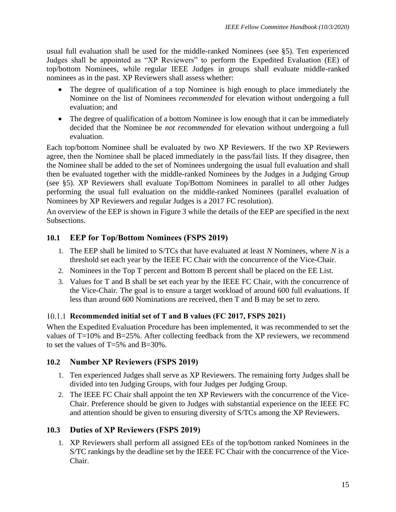usual full evaluation shall be used for the middle-ranked Nominees (see [§5\)](#page-5-0). Ten experienced Judges shall be appointed as "XP Reviewers" to perform the Expedited Evaluation (EE) of top/bottom Nominees, while regular IEEE Judges in groups shall evaluate middle-ranked nominees as in the past. XP Reviewers shall assess whether:

- The degree of qualification of a top Nominee is high enough to place immediately the Nominee on the list of Nominees *recommended* for elevation without undergoing a full evaluation; and
- The degree of qualification of a bottom Nominee is low enough that it can be immediately decided that the Nominee be *not recommended* for elevation without undergoing a full evaluation.

Each top/bottom Nominee shall be evaluated by two XP Reviewers. If the two XP Reviewers agree, then the Nominee shall be placed immediately in the pass/fail lists. If they disagree, then the Nominee shall be added to the set of Nominees undergoing the usual full evaluation and shall then be evaluated together with the middle-ranked Nominees by the Judges in a Judging Group (see [§5\)](#page-5-0). XP Reviewers shall evaluate Top/Bottom Nominees in parallel to all other Judges performing the usual full evaluation on the middle-ranked Nominees (parallel evaluation of Nominees by XP Reviewers and regular Judges is a 2017 FC resolution).

An overview of the EEP is shown in [Figure 3](#page-18-1) while the details of the EEP are specified in the next Subsections.

#### <span id="page-16-0"></span>**10.1 EEP for Top/Bottom Nominees (FSPS 2019)**

- 1. The EEP shall be limited to S/TCs that have evaluated at least *N* Nominees, where *N* is a threshold set each year by the IEEE FC Chair with the concurrence of the Vice-Chair.
- 2. Nominees in the Top T percent and Bottom B percent shall be placed on the EE List.
- 3. Values for T and B shall be set each year by the IEEE FC Chair, with the concurrence of the Vice-Chair. The goal is to ensure a target workload of around 600 full evaluations. If less than around 600 Nominations are received, then T and B may be set to zero.

#### <span id="page-16-1"></span>**Recommended initial set of T and B values (FC 2017, FSPS 2021)**

When the Expedited Evaluation Procedure has been implemented, it was recommended to set the values of T=10% and B=25%. After collecting feedback from the XP reviewers, we recommend to set the values of T=5% and B=30%.

#### <span id="page-16-2"></span>**10.2 Number XP Reviewers (FSPS 2019)**

- 1. Ten experienced Judges shall serve as XP Reviewers. The remaining forty Judges shall be divided into ten Judging Groups, with four Judges per Judging Group.
- 2. The IEEE FC Chair shall appoint the ten XP Reviewers with the concurrence of the Vice-Chair. Preference should be given to Judges with substantial experience on the IEEE FC and attention should be given to ensuring diversity of S/TCs among the XP Reviewers.

#### <span id="page-16-3"></span>**10.3 Duties of XP Reviewers (FSPS 2019)**

1. XP Reviewers shall perform all assigned EEs of the top/bottom ranked Nominees in the S/TC rankings by the deadline set by the IEEE FC Chair with the concurrence of the Vice-Chair.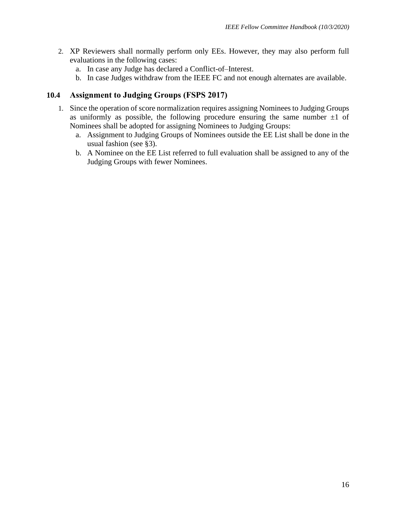- 2. XP Reviewers shall normally perform only EEs. However, they may also perform full evaluations in the following cases:
	- a. In case any Judge has declared a Conflict-of–Interest.
	- b. In case Judges withdraw from the IEEE FC and not enough alternates are available.

#### <span id="page-17-0"></span>**10.4 Assignment to Judging Groups (FSPS 2017)**

- 1. Since the operation of score normalization requires assigning Nominees to Judging Groups as uniformly as possible, the following procedure ensuring the same number  $\pm 1$  of Nominees shall be adopted for assigning Nominees to Judging Groups:
	- a. Assignment to Judging Groups of Nominees outside the EE List shall be done in the usual fashion (see [§3\)](#page-4-0).
	- b. A Nominee on the EE List referred to full evaluation shall be assigned to any of the Judging Groups with fewer Nominees.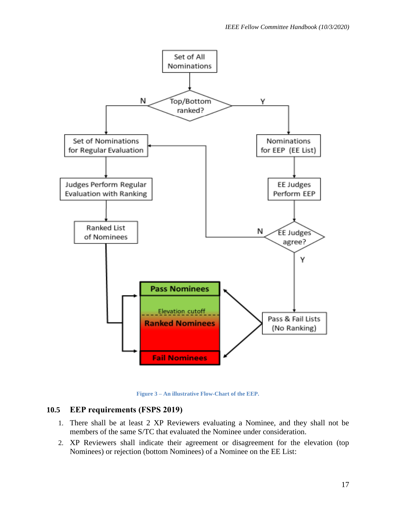

**Figure 3 – An illustrative Flow-Chart of the EEP.**

#### <span id="page-18-1"></span><span id="page-18-0"></span>**10.5 EEP requirements (FSPS 2019)**

- 1. There shall be at least 2 XP Reviewers evaluating a Nominee, and they shall not be members of the same S/TC that evaluated the Nominee under consideration.
- 2. XP Reviewers shall indicate their agreement or disagreement for the elevation (top Nominees) or rejection (bottom Nominees) of a Nominee on the EE List: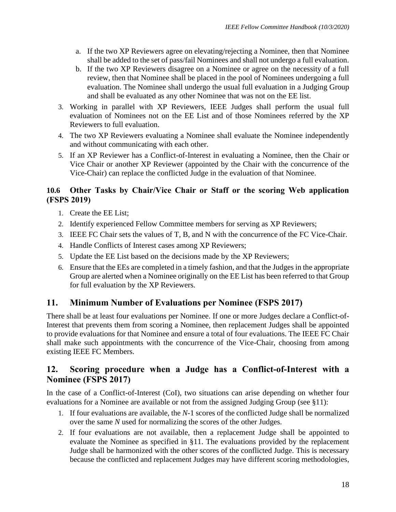- a. If the two XP Reviewers agree on elevating/rejecting a Nominee, then that Nominee shall be added to the set of pass/fail Nominees and shall not undergo a full evaluation.
- b. If the two XP Reviewers disagree on a Nominee or agree on the necessity of a full review, then that Nominee shall be placed in the pool of Nominees undergoing a full evaluation. The Nominee shall undergo the usual full evaluation in a Judging Group and shall be evaluated as any other Nominee that was not on the EE list.
- 3. Working in parallel with XP Reviewers, IEEE Judges shall perform the usual full evaluation of Nominees not on the EE List and of those Nominees referred by the XP Reviewers to full evaluation.
- 4. The two XP Reviewers evaluating a Nominee shall evaluate the Nominee independently and without communicating with each other.
- 5. If an XP Reviewer has a Conflict-of-Interest in evaluating a Nominee, then the Chair or Vice Chair or another XP Reviewer (appointed by the Chair with the concurrence of the Vice-Chair) can replace the conflicted Judge in the evaluation of that Nominee.

#### <span id="page-19-0"></span>**10.6 Other Tasks by Chair/Vice Chair or Staff or the scoring Web application (FSPS 2019)**

- 1. Create the EE List;
- 2. Identify experienced Fellow Committee members for serving as XP Reviewers;
- 3. IEEE FC Chair sets the values of T, B, and N with the concurrence of the FC Vice-Chair.
- 4. Handle Conflicts of Interest cases among XP Reviewers;
- 5. Update the EE List based on the decisions made by the XP Reviewers;
- 6. Ensure that the EEs are completed in a timely fashion, and that the Judges in the appropriate Group are alerted when a Nominee originally on the EE List has been referred to that Group for full evaluation by the XP Reviewers.

# <span id="page-19-1"></span>**11. Minimum Number of Evaluations per Nominee (FSPS 2017)**

There shall be at least four evaluations per Nominee. If one or more Judges declare a Conflict-of-Interest that prevents them from scoring a Nominee, then replacement Judges shall be appointed to provide evaluations for that Nominee and ensure a total of four evaluations. The IEEE FC Chair shall make such appointments with the concurrence of the Vice-Chair, choosing from among existing IEEE FC Members.

#### <span id="page-19-2"></span>**12. Scoring procedure when a Judge has a Conflict-of-Interest with a Nominee (FSPS 2017)**

In the case of a Conflict-of-Interest (CoI), two situations can arise depending on whether four evaluations for a Nominee are available or not from the assigned Judging Group (see [§11\)](#page-19-1):

- 1. If four evaluations are available, the *N*-1 scores of the conflicted Judge shall be normalized over the same *N* used for normalizing the scores of the other Judges.
- 2. If four evaluations are not available, then a replacement Judge shall be appointed to evaluate the Nominee as specified in [§11.](#page-19-1) The evaluations provided by the replacement Judge shall be harmonized with the other scores of the conflicted Judge. This is necessary because the conflicted and replacement Judges may have different scoring methodologies,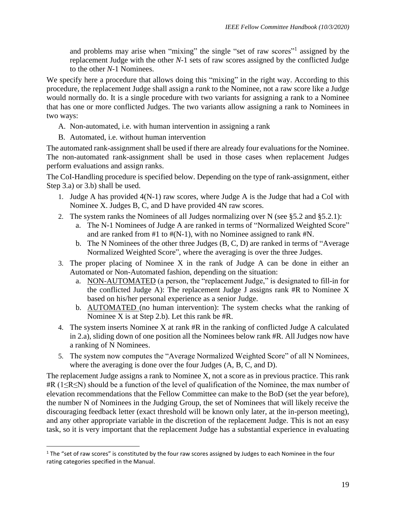and problems may arise when "mixing" the single "set of raw scores"<sup>1</sup> assigned by the replacement Judge with the other *N*-1 sets of raw scores assigned by the conflicted Judge to the other *N*-1 Nominees.

We specify here a procedure that allows doing this "mixing" in the right way. According to this procedure, the replacement Judge shall assign a *rank* to the Nominee, not a raw score like a Judge would normally do. It is a single procedure with two variants for assigning a rank to a Nominee that has one or more conflicted Judges. The two variants allow assigning a rank to Nominees in two ways:

- A. Non-automated, i.e. with human intervention in assigning a rank
- B. Automated, i.e. without human intervention

The automated rank-assignment shall be used if there are already four evaluations for the Nominee. The non-automated rank-assignment shall be used in those cases when replacement Judges perform evaluations and assign ranks.

The CoI-Handling procedure is specified below. Depending on the type of rank-assignment, either Step 3.a) or 3.b) shall be used.

- 1. Judge A has provided 4(N-1) raw scores, where Judge A is the Judge that had a CoI with Nominee X. Judges B, C, and D have provided 4N raw scores.
- 2. The system ranks the Nominees of all Judges normalizing over N (see [§5.2](#page-5-2) and [§5.2.1\)](#page-6-0):
	- a. The N-1 Nominees of Judge A are ranked in terms of "Normalized Weighted Score" and are ranked from #1 to #(N-1), with no Nominee assigned to rank #N.
	- b. The N Nominees of the other three Judges (B, C, D) are ranked in terms of "Average Normalized Weighted Score", where the averaging is over the three Judges.
- 3. The proper placing of Nominee X in the rank of Judge A can be done in either an Automated or Non-Automated fashion, depending on the situation:
	- a. NON-AUTOMATED (a person, the "replacement Judge," is designated to fill-in for the conflicted Judge A): The replacement Judge J assigns rank #R to Nominee X based on his/her personal experience as a senior Judge.
	- b. AUTOMATED (no human intervention): The system checks what the ranking of Nominee X is at Step 2.b). Let this rank be #R.
- 4. The system inserts Nominee X at rank #R in the ranking of conflicted Judge A calculated in 2.a), sliding down of one position all the Nominees below rank #R. All Judges now have a ranking of N Nominees.
- 5. The system now computes the "Average Normalized Weighted Score" of all N Nominees, where the averaging is done over the four Judges (A, B, C, and D).

The replacement Judge assigns a rank to Nominee X, not a score as in previous practice. This rank #R (1≤R≤N) should be a function of the level of qualification of the Nominee, the max number of elevation recommendations that the Fellow Committee can make to the BoD (set the year before), the number N of Nominees in the Judging Group, the set of Nominees that will likely receive the discouraging feedback letter (exact threshold will be known only later, at the in-person meeting), and any other appropriate variable in the discretion of the replacement Judge. This is not an easy task, so it is very important that the replacement Judge has a substantial experience in evaluating

<sup>&</sup>lt;sup>1</sup> The "set of raw scores" is constituted by the four raw scores assigned by Judges to each Nominee in the four rating categories specified in the Manual.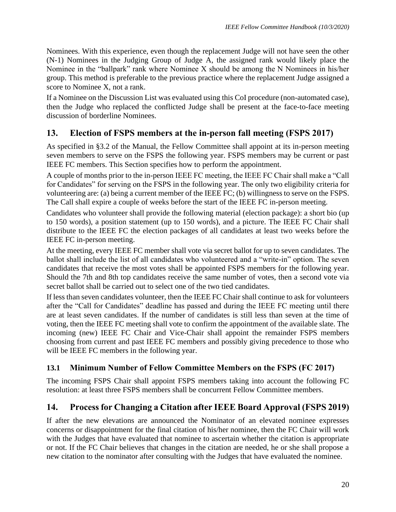Nominees. With this experience, even though the replacement Judge will not have seen the other (N-1) Nominees in the Judging Group of Judge A, the assigned rank would likely place the Nominee in the "ballpark" rank where Nominee X should be among the N Nominees in his/her group. This method is preferable to the previous practice where the replacement Judge assigned a score to Nominee X, not a rank.

If a Nominee on the Discussion List was evaluated using this CoI procedure (non-automated case), then the Judge who replaced the conflicted Judge shall be present at the face-to-face meeting discussion of borderline Nominees.

# <span id="page-21-0"></span>**13. Election of FSPS members at the in-person fall meeting (FSPS 2017)**

As specified in §3.2 of the Manual, the Fellow Committee shall appoint at its in-person meeting seven members to serve on the FSPS the following year. FSPS members may be current or past IEEE FC members. This Section specifies how to perform the appointment.

A couple of months prior to the in-person IEEE FC meeting, the IEEE FC Chair shall make a "Call for Candidates" for serving on the FSPS in the following year. The only two eligibility criteria for volunteering are: (a) being a current member of the IEEE FC; (b) willingness to serve on the FSPS. The Call shall expire a couple of weeks before the start of the IEEE FC in-person meeting.

Candidates who volunteer shall provide the following material (election package): a short bio (up to 150 words), a position statement (up to 150 words), and a picture. The IEEE FC Chair shall distribute to the IEEE FC the election packages of all candidates at least two weeks before the IEEE FC in-person meeting.

At the meeting, every IEEE FC member shall vote via secret ballot for up to seven candidates. The ballot shall include the list of all candidates who volunteered and a "write-in" option. The seven candidates that receive the most votes shall be appointed FSPS members for the following year. Should the 7th and 8th top candidates receive the same number of votes, then a second vote via secret ballot shall be carried out to select one of the two tied candidates.

If less than seven candidates volunteer, then the IEEE FC Chair shall continue to ask for volunteers after the "Call for Candidates" deadline has passed and during the IEEE FC meeting until there are at least seven candidates. If the number of candidates is still less than seven at the time of voting, then the IEEE FC meeting shall vote to confirm the appointment of the available slate. The incoming (new) IEEE FC Chair and Vice-Chair shall appoint the remainder FSPS members choosing from current and past IEEE FC members and possibly giving precedence to those who will be IEEE FC members in the following year.

# <span id="page-21-1"></span>**13.1 Minimum Number of Fellow Committee Members on the FSPS (FC 2017)**

The incoming FSPS Chair shall appoint FSPS members taking into account the following FC resolution: at least three FSPS members shall be concurrent Fellow Committee members.

# <span id="page-21-2"></span>**14. Process for Changing a Citation after IEEE Board Approval (FSPS 2019)**

If after the new elevations are announced the Nominator of an elevated nominee expresses concerns or disappointment for the final citation of his/her nominee, then the FC Chair will work with the Judges that have evaluated that nominee to ascertain whether the citation is appropriate or not. If the FC Chair believes that changes in the citation are needed, he or she shall propose a new citation to the nominator after consulting with the Judges that have evaluated the nominee.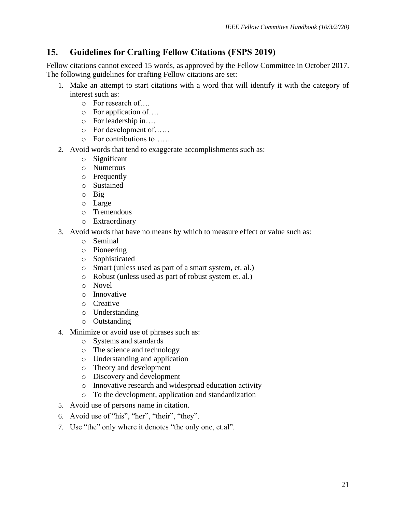# <span id="page-22-0"></span>**15. Guidelines for Crafting Fellow Citations (FSPS 2019)**

Fellow citations cannot exceed 15 words, as approved by the Fellow Committee in October 2017. The following guidelines for crafting Fellow citations are set:

- 1. Make an attempt to start citations with a word that will identify it with the category of interest such as:
	- o For research of….
	- o For application of….
	- o For leadership in….
	- o For development of……
	- o For contributions to…….
- 2. Avoid words that tend to exaggerate accomplishments such as:
	- o Significant
	- o Numerous
	- o Frequently
	- o Sustained
	- o Big
	- o Large
	- o Tremendous
	- o Extraordinary
- 3. Avoid words that have no means by which to measure effect or value such as:
	- o Seminal
	- o Pioneering
	- o Sophisticated
	- o Smart (unless used as part of a smart system, et. al.)
	- o Robust (unless used as part of robust system et. al.)
	- o Novel
	- o Innovative
	- o Creative
	- o Understanding
	- o Outstanding
- 4. Minimize or avoid use of phrases such as:
	- o Systems and standards
	- o The science and technology
	- o Understanding and application
	- o Theory and development
	- o Discovery and development
	- o Innovative research and widespread education activity
	- o To the development, application and standardization
- 5. Avoid use of persons name in citation.
- 6. Avoid use of "his", "her", "their", "they".
- 7. Use "the" only where it denotes "the only one, et.al".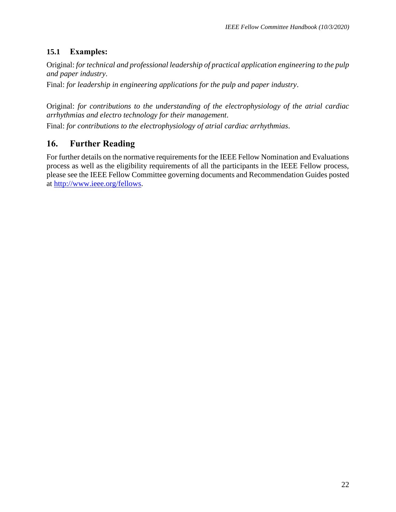#### <span id="page-23-0"></span>**15.1 Examples:**

Original: *for technical and professional leadership of practical application engineering to the pulp and paper industry*.

Final: *for leadership in engineering applications for the pulp and paper industry*.

Original: *for contributions to the understanding of the electrophysiology of the atrial cardiac arrhythmias and electro technology for their management*.

<span id="page-23-1"></span>Final: *for contributions to the electrophysiology of atrial cardiac arrhythmias*.

# **16. Further Reading**

For further details on the normative requirements for the IEEE Fellow Nomination and Evaluations process as well as the eligibility requirements of all the participants in the IEEE Fellow process, please see the IEEE Fellow Committee governing documents and Recommendation Guides posted at [http://www.ieee.org/fellows.](http://www.ieee.org/fellows)